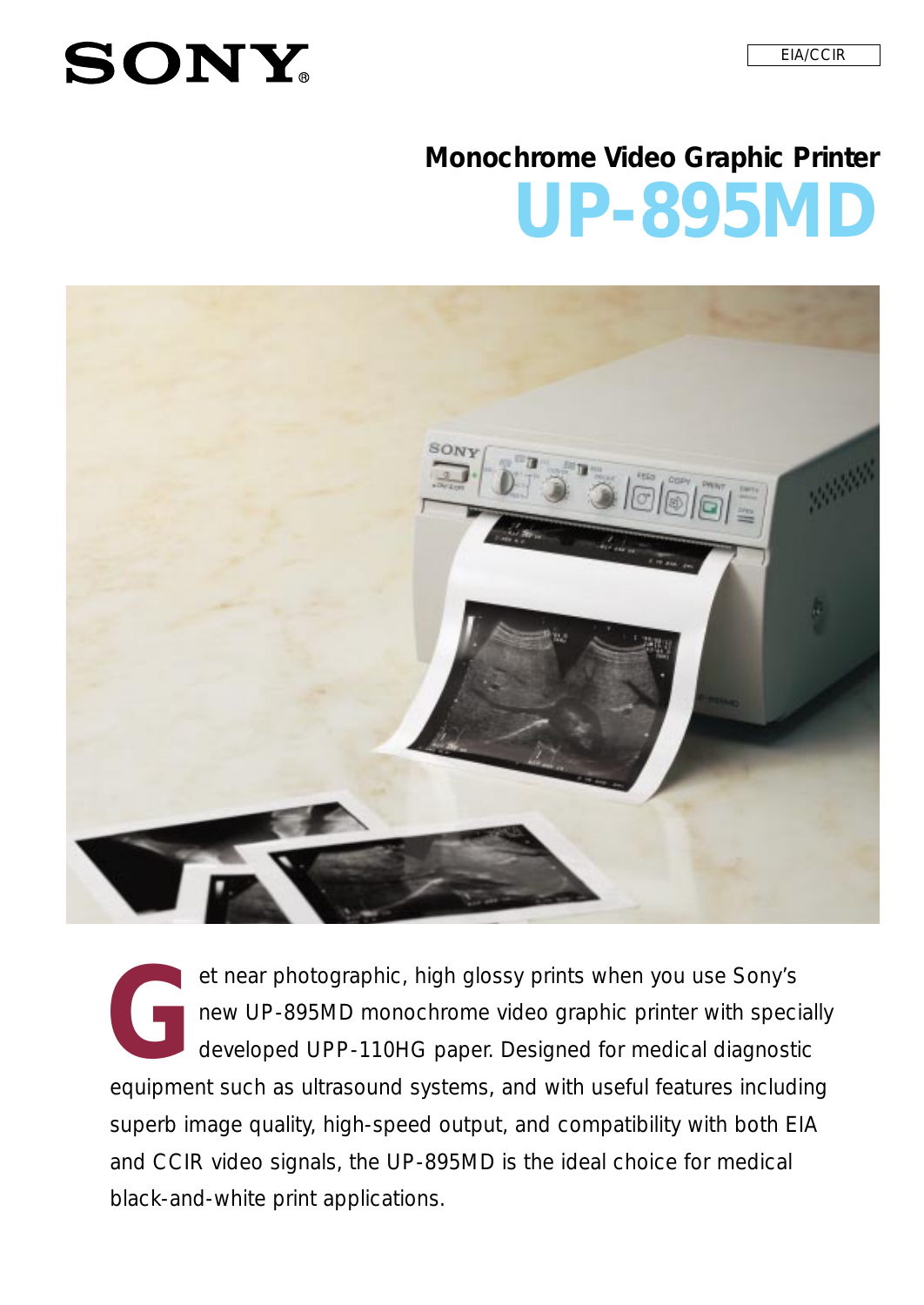# **SONY**

# **UP-895MD Monochrome Video Graphic Printer**



et near photographic, high glossy prints when you use Sony's<br>new UP-895MD monochrome video graphic printer with spec<br>developed UPP-110HG paper. Designed for medical diagnost *new UP-895MD monochrome video graphic printer with specially developed UPP-110HG paper. Designed for medical diagnostic equipment such as ultrasound systems, and with useful features including superb image quality, high-speed output, and compatibility with both EIA and CCIR video signals, the UP-895MD is the ideal choice for medical black-and-white print applications.*